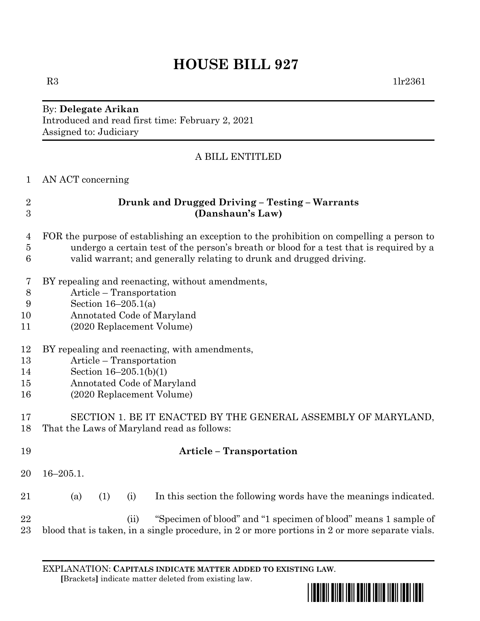# **HOUSE BILL 927**

#### By: **Delegate Arikan** Introduced and read first time: February 2, 2021 Assigned to: Judiciary

## A BILL ENTITLED

AN ACT concerning

# **Drunk and Drugged Driving – Testing – Warrants (Danshaun's Law)**

- FOR the purpose of establishing an exception to the prohibition on compelling a person to undergo a certain test of the person's breath or blood for a test that is required by a valid warrant; and generally relating to drunk and drugged driving.
- BY repealing and reenacting, without amendments,
- Article Transportation
- Section 16–205.1(a)
- Annotated Code of Maryland
- (2020 Replacement Volume)
- BY repealing and reenacting, with amendments,
- Article Transportation
- Section 16–205.1(b)(1)
- Annotated Code of Maryland
- (2020 Replacement Volume)

# SECTION 1. BE IT ENACTED BY THE GENERAL ASSEMBLY OF MARYLAND, That the Laws of Maryland read as follows:

 **Article – Transportation** 16–205.1. (a) (1) (i) In this section the following words have the meanings indicated. (ii) "Specimen of blood" and "1 specimen of blood" means 1 sample of blood that is taken, in a single procedure, in 2 or more portions in 2 or more separate vials.

EXPLANATION: **CAPITALS INDICATE MATTER ADDED TO EXISTING LAW**.  **[**Brackets**]** indicate matter deleted from existing law.

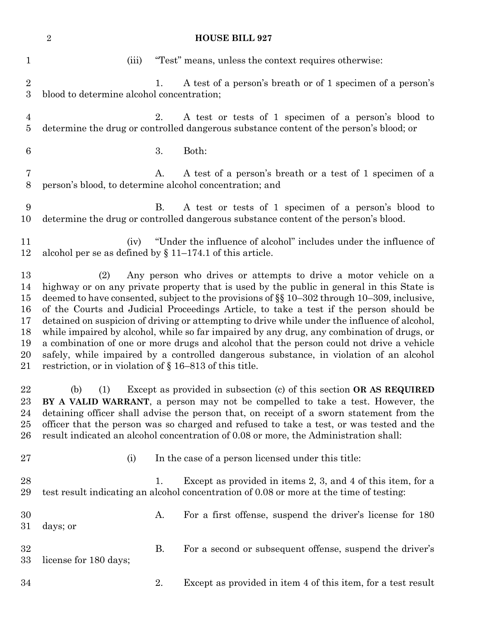|                                                    | $\overline{2}$<br><b>HOUSE BILL 927</b>                                                                                                                                                                                                                                                                                                                                                                                                                                                                                                                                                                                                                                                                                                                                                                      |           |                                                                                                                                                                                                                                                                                                                                                                                                                                       |  |  |  |
|----------------------------------------------------|--------------------------------------------------------------------------------------------------------------------------------------------------------------------------------------------------------------------------------------------------------------------------------------------------------------------------------------------------------------------------------------------------------------------------------------------------------------------------------------------------------------------------------------------------------------------------------------------------------------------------------------------------------------------------------------------------------------------------------------------------------------------------------------------------------------|-----------|---------------------------------------------------------------------------------------------------------------------------------------------------------------------------------------------------------------------------------------------------------------------------------------------------------------------------------------------------------------------------------------------------------------------------------------|--|--|--|
| $\mathbf 1$                                        | (iii)                                                                                                                                                                                                                                                                                                                                                                                                                                                                                                                                                                                                                                                                                                                                                                                                        |           | "Test" means, unless the context requires otherwise:                                                                                                                                                                                                                                                                                                                                                                                  |  |  |  |
| $\overline{2}$<br>3                                | blood to determine alcohol concentration;                                                                                                                                                                                                                                                                                                                                                                                                                                                                                                                                                                                                                                                                                                                                                                    | 1.        | A test of a person's breath or of 1 specimen of a person's                                                                                                                                                                                                                                                                                                                                                                            |  |  |  |
| $\overline{4}$<br>$\bf 5$                          |                                                                                                                                                                                                                                                                                                                                                                                                                                                                                                                                                                                                                                                                                                                                                                                                              | 2.        | A test or tests of 1 specimen of a person's blood to<br>determine the drug or controlled dangerous substance content of the person's blood; or                                                                                                                                                                                                                                                                                        |  |  |  |
| 6                                                  |                                                                                                                                                                                                                                                                                                                                                                                                                                                                                                                                                                                                                                                                                                                                                                                                              | 3.        | Both:                                                                                                                                                                                                                                                                                                                                                                                                                                 |  |  |  |
| 7<br>8                                             | person's blood, to determine alcohol concentration; and                                                                                                                                                                                                                                                                                                                                                                                                                                                                                                                                                                                                                                                                                                                                                      | A.        | A test of a person's breath or a test of 1 specimen of a                                                                                                                                                                                                                                                                                                                                                                              |  |  |  |
| 9<br>10                                            |                                                                                                                                                                                                                                                                                                                                                                                                                                                                                                                                                                                                                                                                                                                                                                                                              | <b>B.</b> | A test or tests of 1 specimen of a person's blood to<br>determine the drug or controlled dangerous substance content of the person's blood.                                                                                                                                                                                                                                                                                           |  |  |  |
| 11<br>12                                           | (iv)<br>alcohol per se as defined by $\S 11-174.1$ of this article.                                                                                                                                                                                                                                                                                                                                                                                                                                                                                                                                                                                                                                                                                                                                          |           | "Under the influence of alcohol" includes under the influence of                                                                                                                                                                                                                                                                                                                                                                      |  |  |  |
| 13<br>14<br>15<br>16<br>17<br>18<br>19<br>20<br>21 | Any person who drives or attempts to drive a motor vehicle on a<br>(2)<br>highway or on any private property that is used by the public in general in this State is<br>deemed to have consented, subject to the provisions of §§ 10-302 through 10-309, inclusive,<br>of the Courts and Judicial Proceedings Article, to take a test if the person should be<br>detained on suspicion of driving or attempting to drive while under the influence of alcohol,<br>while impaired by alcohol, while so far impaired by any drug, any combination of drugs, or<br>a combination of one or more drugs and alcohol that the person could not drive a vehicle<br>safely, while impaired by a controlled dangerous substance, in violation of an alcohol<br>restriction, or in violation of § 16-813 of this title. |           |                                                                                                                                                                                                                                                                                                                                                                                                                                       |  |  |  |
| 22<br>23<br>24<br>$25\,$<br>26                     | (b)<br>(1)                                                                                                                                                                                                                                                                                                                                                                                                                                                                                                                                                                                                                                                                                                                                                                                                   |           | Except as provided in subsection (c) of this section OR AS REQUIRED<br>BY A VALID WARRANT, a person may not be compelled to take a test. However, the<br>detaining officer shall advise the person that, on receipt of a sworn statement from the<br>officer that the person was so charged and refused to take a test, or was tested and the<br>result indicated an alcohol concentration of 0.08 or more, the Administration shall: |  |  |  |
| $27\,$                                             | (i)                                                                                                                                                                                                                                                                                                                                                                                                                                                                                                                                                                                                                                                                                                                                                                                                          |           | In the case of a person licensed under this title:                                                                                                                                                                                                                                                                                                                                                                                    |  |  |  |
| 28<br>29                                           |                                                                                                                                                                                                                                                                                                                                                                                                                                                                                                                                                                                                                                                                                                                                                                                                              | 1.        | Except as provided in items 2, 3, and 4 of this item, for a<br>test result indicating an alcohol concentration of 0.08 or more at the time of testing:                                                                                                                                                                                                                                                                                |  |  |  |
| 30<br>$31\,$                                       | days; or                                                                                                                                                                                                                                                                                                                                                                                                                                                                                                                                                                                                                                                                                                                                                                                                     | A.        | For a first offense, suspend the driver's license for 180                                                                                                                                                                                                                                                                                                                                                                             |  |  |  |
| 32<br>$33\,$                                       | license for 180 days;                                                                                                                                                                                                                                                                                                                                                                                                                                                                                                                                                                                                                                                                                                                                                                                        | <b>B.</b> | For a second or subsequent offense, suspend the driver's                                                                                                                                                                                                                                                                                                                                                                              |  |  |  |
| 34                                                 |                                                                                                                                                                                                                                                                                                                                                                                                                                                                                                                                                                                                                                                                                                                                                                                                              | 2.        | Except as provided in item 4 of this item, for a test result                                                                                                                                                                                                                                                                                                                                                                          |  |  |  |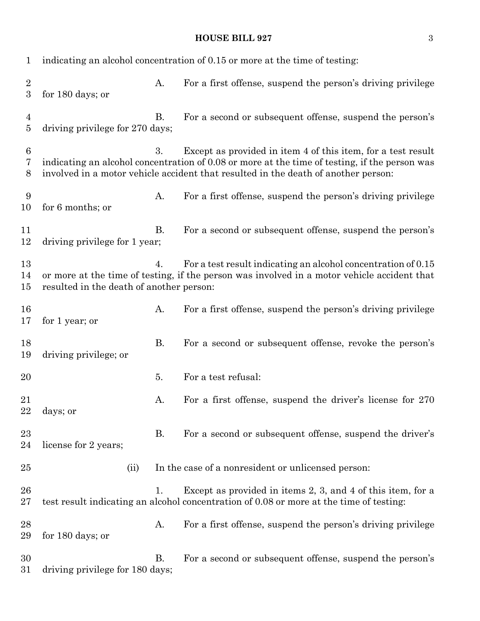## **HOUSE BILL 927** 3

| 1                                    | indicating an alcohol concentration of 0.15 or more at the time of testing: |           |                                                                                                                                                                                                                                                     |
|--------------------------------------|-----------------------------------------------------------------------------|-----------|-----------------------------------------------------------------------------------------------------------------------------------------------------------------------------------------------------------------------------------------------------|
| $\boldsymbol{2}$<br>$\boldsymbol{3}$ | for 180 days; or                                                            | A.        | For a first offense, suspend the person's driving privilege                                                                                                                                                                                         |
| $\overline{4}$<br>$\bf 5$            | driving privilege for 270 days;                                             | <b>B.</b> | For a second or subsequent offense, suspend the person's                                                                                                                                                                                            |
| $\,6$<br>7<br>8                      |                                                                             | 3.        | Except as provided in item 4 of this item, for a test result<br>indicating an alcohol concentration of 0.08 or more at the time of testing, if the person was<br>involved in a motor vehicle accident that resulted in the death of another person: |
| 9<br>10                              | for 6 months; or                                                            | A.        | For a first offense, suspend the person's driving privilege                                                                                                                                                                                         |
| 11<br>12                             | driving privilege for 1 year;                                               | <b>B.</b> | For a second or subsequent offense, suspend the person's                                                                                                                                                                                            |
| 13<br>14<br>15                       | resulted in the death of another person:                                    | 4.        | For a test result indicating an alcohol concentration of 0.15<br>or more at the time of testing, if the person was involved in a motor vehicle accident that                                                                                        |
| 16<br>17                             | for 1 year; or                                                              | A.        | For a first offense, suspend the person's driving privilege                                                                                                                                                                                         |
| 18<br>19                             | driving privilege; or                                                       | <b>B.</b> | For a second or subsequent offense, revoke the person's                                                                                                                                                                                             |
| 20                                   |                                                                             | 5.        | For a test refusal:                                                                                                                                                                                                                                 |
| 21<br>22                             | days; or                                                                    | A.        | For a first offense, suspend the driver's license for 270                                                                                                                                                                                           |
| 23<br>24                             | license for 2 years;                                                        | <b>B.</b> | For a second or subsequent offense, suspend the driver's                                                                                                                                                                                            |
| 25                                   | (ii)                                                                        |           | In the case of a nonresident or unlicensed person:                                                                                                                                                                                                  |
| 26<br>27                             |                                                                             | 1.        | Except as provided in items 2, 3, and 4 of this item, for a<br>test result indicating an alcohol concentration of 0.08 or more at the time of testing:                                                                                              |
| 28<br>29                             | for 180 days; or                                                            | Α.        | For a first offense, suspend the person's driving privilege                                                                                                                                                                                         |
| 30<br>31                             | driving privilege for 180 days;                                             | <b>B.</b> | For a second or subsequent offense, suspend the person's                                                                                                                                                                                            |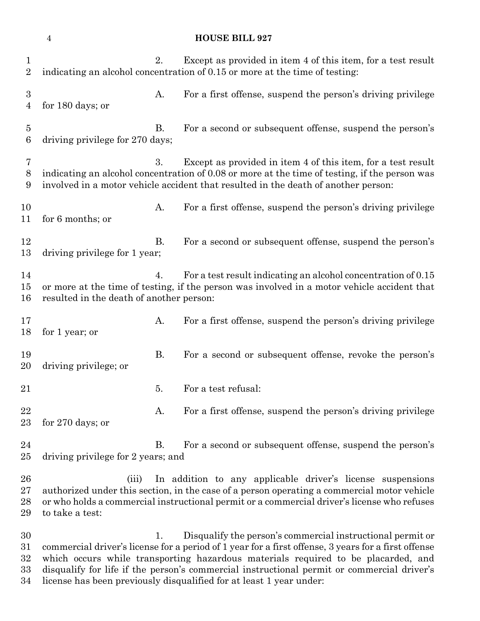|                              | $\overline{4}$                           |           | <b>HOUSE BILL 927</b>                                                                                                                                                                                                                                                                                                                                |
|------------------------------|------------------------------------------|-----------|------------------------------------------------------------------------------------------------------------------------------------------------------------------------------------------------------------------------------------------------------------------------------------------------------------------------------------------------------|
| 1<br>$\overline{2}$          |                                          | 2.        | Except as provided in item 4 of this item, for a test result<br>indicating an alcohol concentration of 0.15 or more at the time of testing:                                                                                                                                                                                                          |
| $\boldsymbol{3}$<br>4        | for 180 days; or                         | A.        | For a first offense, suspend the person's driving privilege                                                                                                                                                                                                                                                                                          |
| $\overline{5}$<br>6          | driving privilege for 270 days;          | В.        | For a second or subsequent offense, suspend the person's                                                                                                                                                                                                                                                                                             |
| 7<br>8<br>9                  |                                          | 3.        | Except as provided in item 4 of this item, for a test result<br>indicating an alcohol concentration of 0.08 or more at the time of testing, if the person was<br>involved in a motor vehicle accident that resulted in the death of another person:                                                                                                  |
| 10<br>11                     | for 6 months; or                         | A.        | For a first offense, suspend the person's driving privilege                                                                                                                                                                                                                                                                                          |
| 12<br>13                     | driving privilege for 1 year;            | <b>B.</b> | For a second or subsequent offense, suspend the person's                                                                                                                                                                                                                                                                                             |
| 14<br>15<br>16               | resulted in the death of another person: | 4.        | For a test result indicating an alcohol concentration of 0.15<br>or more at the time of testing, if the person was involved in a motor vehicle accident that                                                                                                                                                                                         |
| 17<br>18                     | for 1 year; or                           | A.        | For a first offense, suspend the person's driving privilege                                                                                                                                                                                                                                                                                          |
| 19<br>$20\,$                 | driving privilege; or                    | <b>B.</b> | For a second or subsequent offense, revoke the person's                                                                                                                                                                                                                                                                                              |
| 21                           |                                          | 5.        | For a test refusal:                                                                                                                                                                                                                                                                                                                                  |
| 22<br>23                     | for $270$ days; or                       | A.        | For a first offense, suspend the person's driving privilege                                                                                                                                                                                                                                                                                          |
| 24<br>$25\,$                 | driving privilege for 2 years; and       | В.        | For a second or subsequent offense, suspend the person's                                                                                                                                                                                                                                                                                             |
| 26<br>$27\,$<br>28<br>29     | (iii)<br>to take a test:                 |           | In addition to any applicable driver's license suspensions<br>authorized under this section, in the case of a person operating a commercial motor vehicle<br>or who holds a commercial instructional permit or a commercial driver's license who refuses                                                                                             |
| 30<br>$31\,$<br>32<br>$33\,$ |                                          | 1.        | Disqualify the person's commercial instructional permit or<br>commercial driver's license for a period of 1 year for a first offense, 3 years for a first offense<br>which occurs while transporting hazardous materials required to be placarded, and<br>disqualify for life if the person's commercial instructional permit or commercial driver's |

license has been previously disqualified for at least 1 year under: